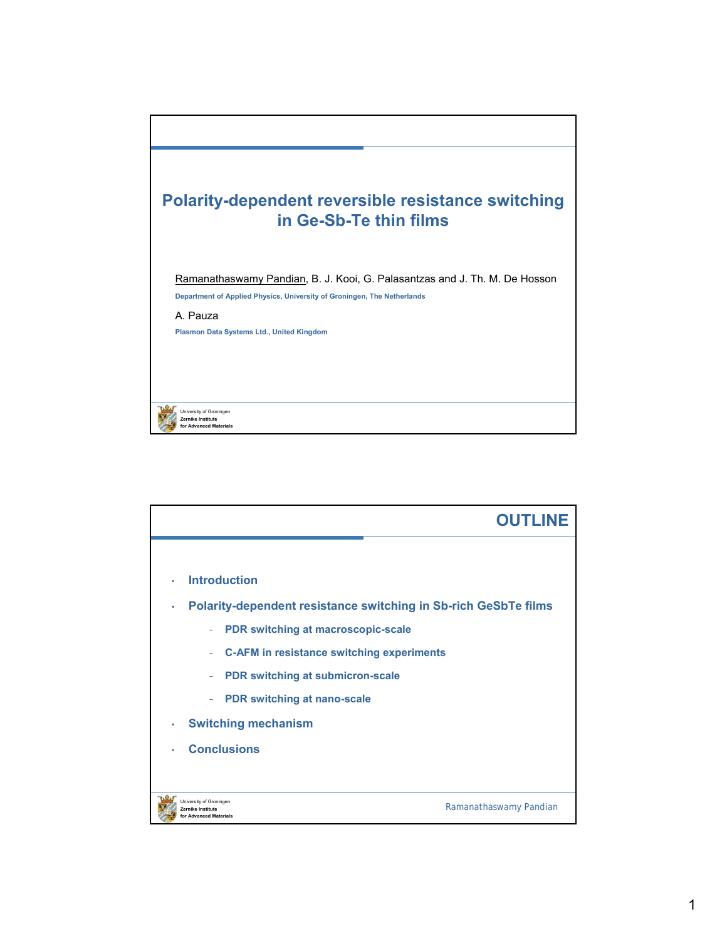

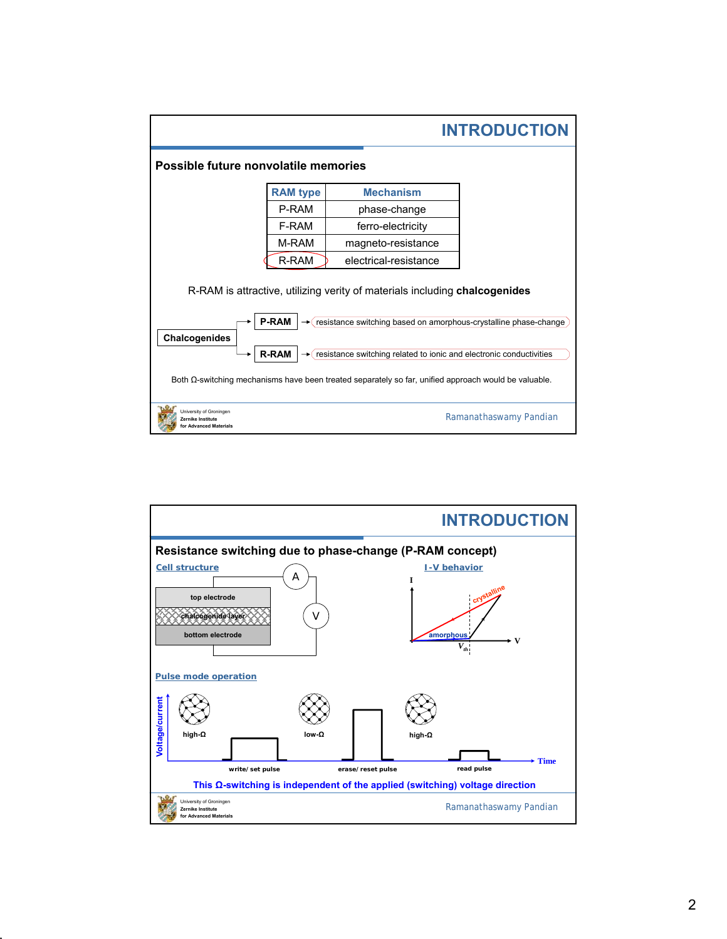|                                                                                                              | <b>INTRODUCTION</b> |                                                                  |  |
|--------------------------------------------------------------------------------------------------------------|---------------------|------------------------------------------------------------------|--|
| Possible future nonvolatile memories                                                                         |                     |                                                                  |  |
|                                                                                                              | <b>RAM</b> type     | <b>Mechanism</b>                                                 |  |
|                                                                                                              | P-RAM               | phase-change                                                     |  |
|                                                                                                              | F-RAM               | ferro-electricity                                                |  |
|                                                                                                              | M-RAM               | magneto-resistance                                               |  |
|                                                                                                              | R-RAM               | electrical-resistance                                            |  |
| R-RAM is attractive, utilizing verity of materials including chalcogenides                                   |                     |                                                                  |  |
|                                                                                                              | <b>P-RAM</b>        | resistance switching based on amorphous-crystalline phase-change |  |
| Chalcogenides<br><b>R-RAM</b><br>resistance switching related to ionic and electronic conductivities         |                     |                                                                  |  |
| Both $\Omega$ -switching mechanisms have been treated separately so far, unified approach would be valuable. |                     |                                                                  |  |
| Jniversity of Groningen<br>Ramanathaswamy Pandian<br>Zernike Institute<br>or Advanced Materials              |                     |                                                                  |  |

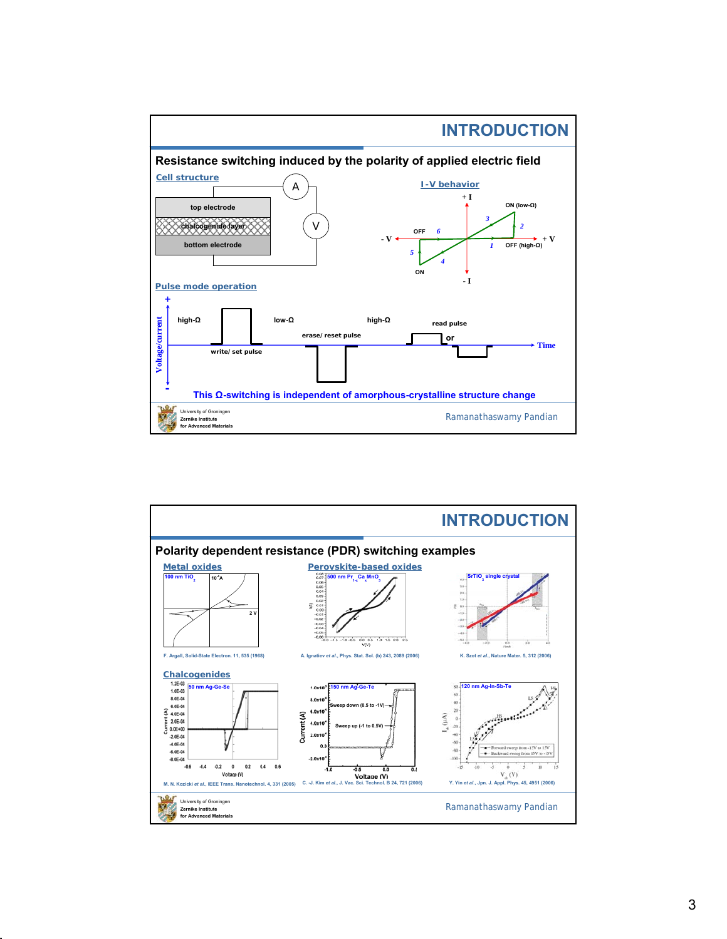

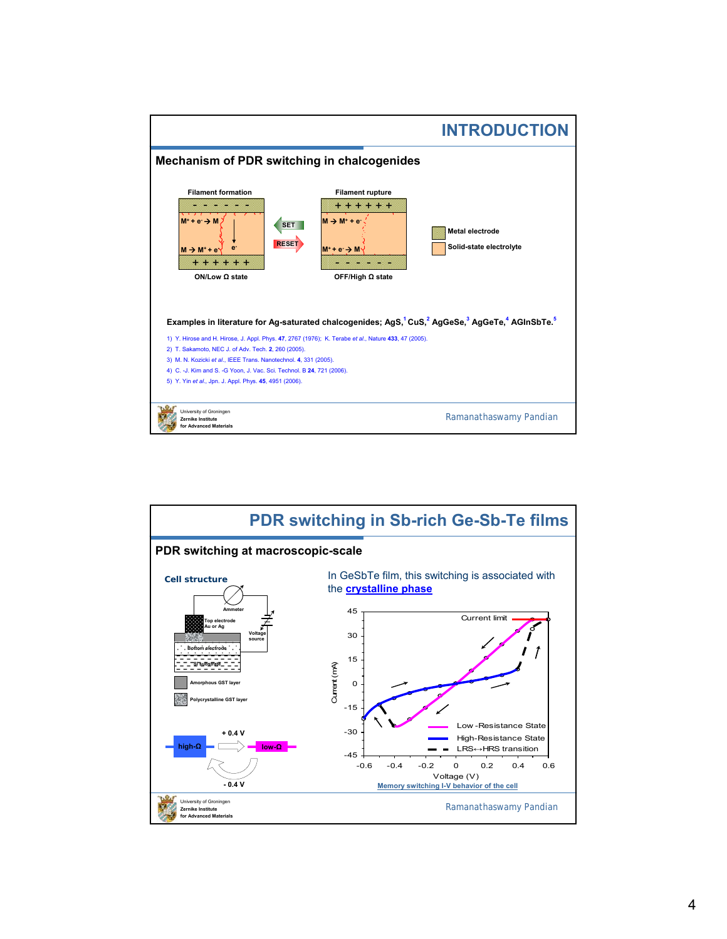

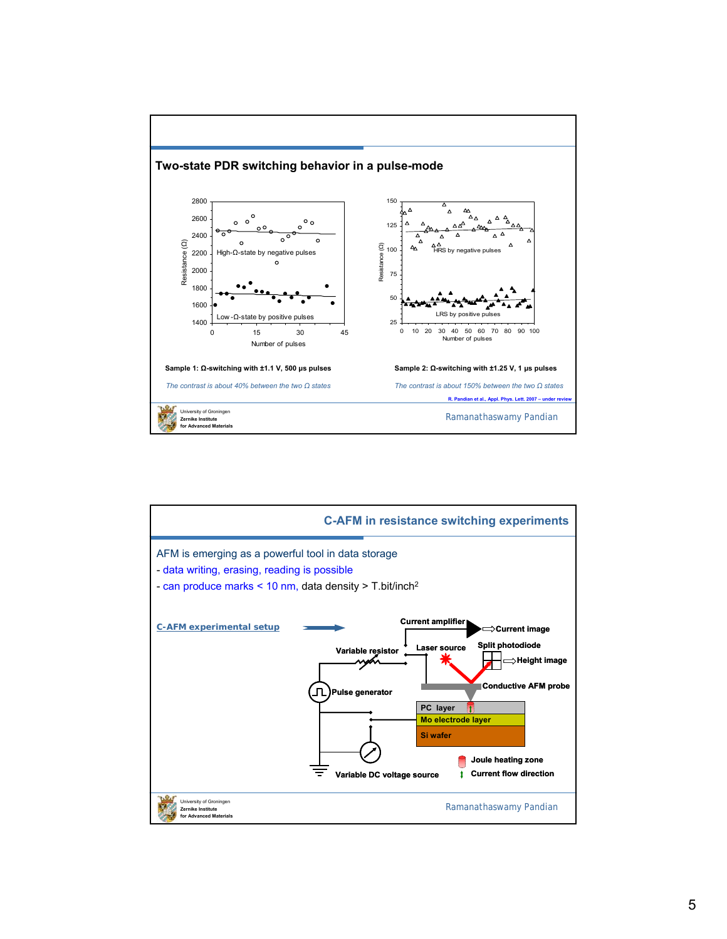

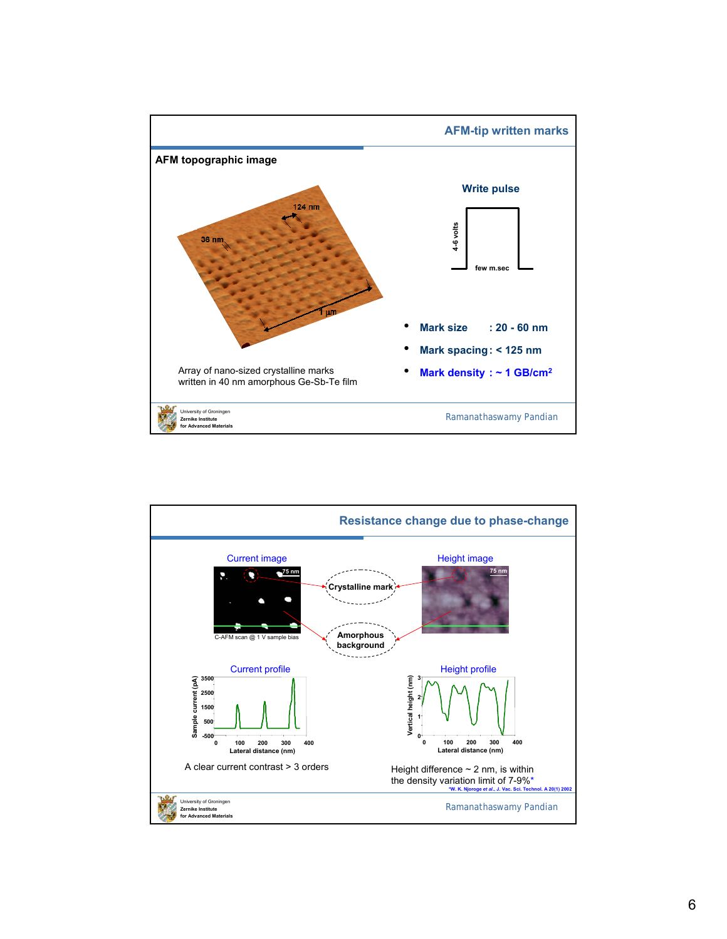

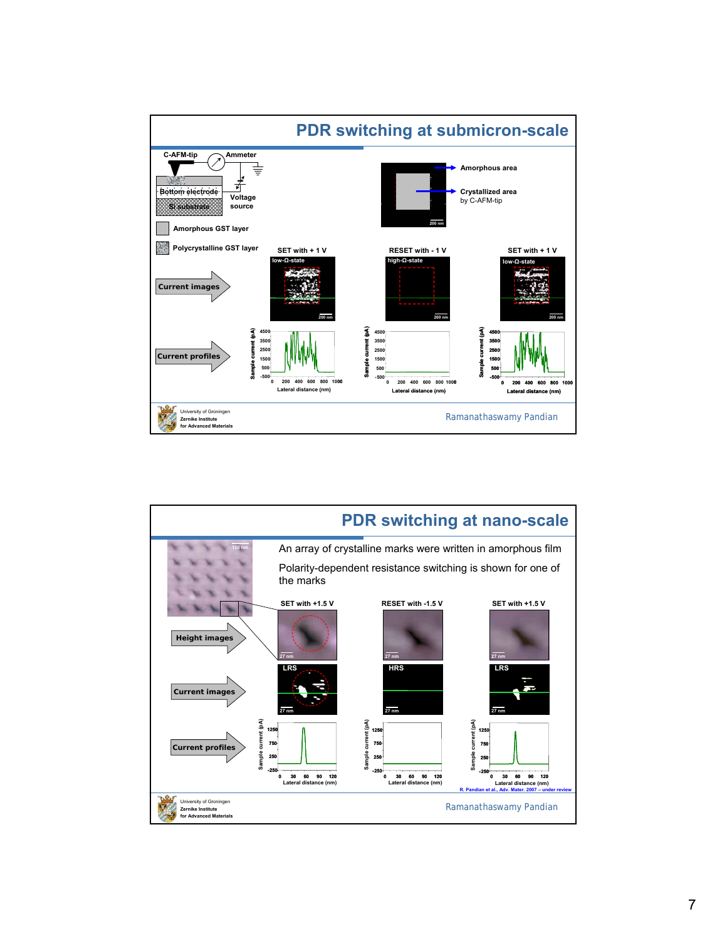